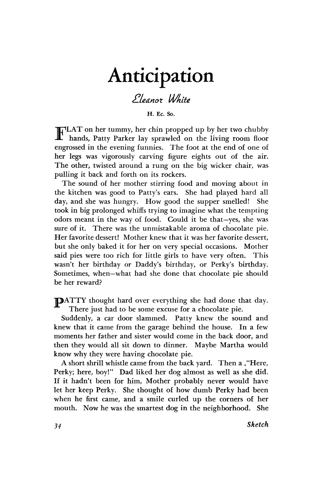## Anticipation

## *2-Ua.not White*

**H. Ec. So.** 

LAT on her tummy, her chin propped up by her two chubby **F**  hands, Patty Parker lay sprawled on the living room floor engrossed in the evening funnies. The foot at the end of one of her legs was vigorously carving figure eights out of the air. The other, twisted around a rung on the big wicker chair, was pulling it back and forth on its rockers.

The sound of her mother stirring food and moving about in the kitchen was good to Patty's ears. She had played hard all day, and she was hungry. How good the supper smelled! She took in big prolonged whiffs trying to imagine what the tempting odors meant in the way of food. Could it be that—yes, she was sure of it. There was the unmistakable aroma of chocolate pie. Her favorite dessert! Mother knew that it was her favorite dessert, but she only baked it for her on very special occasions. Mother said pies were too rich for little girls to have very often. This wasn't her birthday or Daddy's birthday, or Perky's birthday. Sometimes, when—what had she done that chocolate pie should be her reward?

DATTY thought hard over everything she had done that day. There just had to be some excuse for a chocolate pie.

Suddenly, a car door slammed. Patty knew the sound and knew that it came from the garage behind the house. In a few moments her father and sister would come in the back door, and then they would all sit down to dinner. Maybe Martha would know why they were having chocolate pie.

A short shrill whistle came from the back yard. Then a ,"Here, Perky; here, boy!" Dad liked her dog almost as well as she did. If it hadn't been for him, Mother probably never would have let her keep Perky. She thought of how dumb Perky had been when he first came, and a smile curled up the corners of her mouth. Now he was the smartest dog in the neighborhood. She